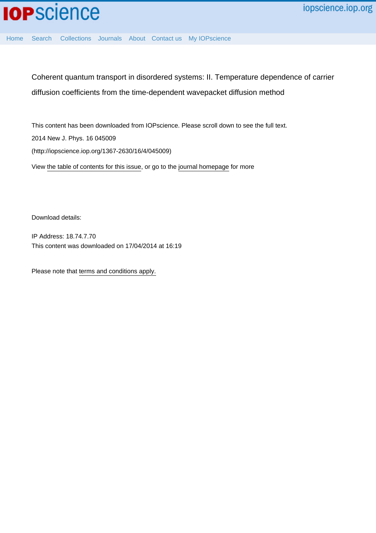

# **IOP**science

[Home](http://iopscience.iop.org/) [Search](http://iopscience.iop.org/search) [Collections](http://iopscience.iop.org/collections) [Journals](http://iopscience.iop.org/journals) [About](http://iopscience.iop.org/page/aboutioppublishing) [Contact us](http://iopscience.iop.org/contact) [My IOPscience](http://iopscience.iop.org/myiopscience)

Coherent quantum transport in disordered systems: II. Temperature dependence of carrier diffusion coefficients from the time-dependent wavepacket diffusion method

This content has been downloaded from IOPscience. Please scroll down to see the full text. View [the table of contents for this issue](http://iopscience.iop.org/1367-2630/16/4), or go to the [journal homepage](http://iopscience.iop.org/1367-2630) for more 2014 New J. Phys. 16 045009 (http://iopscience.iop.org/1367-2630/16/4/045009)

Download details:

IP Address: 18.74.7.70 This content was downloaded on 17/04/2014 at 16:19

Please note that [terms and conditions apply.](iopscience.iop.org/page/terms)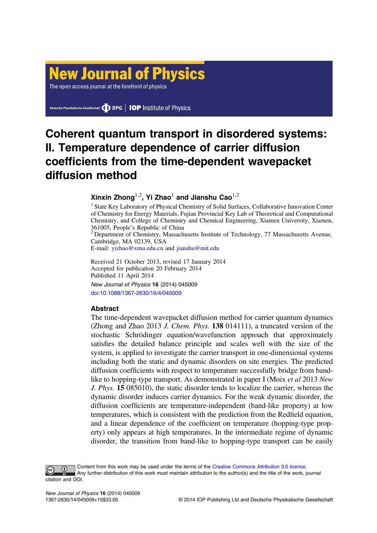## **New Journal of Physics**

The open access journal at the forefront of physics

Deutsche Physikalische Gesellschaft **DDPG** | **IOP** Institute of Physics

### Coherent quantum transport in disordered systems: II. Temperature dependence of carrier diffusion coefficients from the time-dependent wavepacket diffusion method

Xinxin Zhong<sup>1,2</sup>, Yi Zhao<sup>1</sup> and Jianshu Cao<sup>1,2</sup>

<sup>1</sup> State Key Laboratory of Physical Chemistry of Solid Surfaces, Collaborative Innovation Center of Chemistry for Energy Materials, Fujian Provincial Key Lab of Theoretical and Computational Chemistry, and College of Chemistry and Chemical Engineering, Xiamen University, Xiamen, 361005, People's Republic of China

<sup>2</sup> Department of Chemistry, Massachusetts Institute of Technology, 77 Massachusetts Avenue, Cambridge, MA 02139, USA

E-mail: [yizhao@xmu.edu.cn](mailto:yizhao@xmu.edu.cn) and [jianshu@mit.edu](mailto:jianshu@mit.edu)

Received 21 October 2013, revised 17 January 2014 Accepted for publication 20 February 2014 Published 11 April 2014 New Journal of Physics 16 (2014) 045009

[doi:10.1088/1367-2630/16/4/045009](http://dx.doi.org/10.1088/1367-2630/16/4/045009)

#### Abstract

The time-dependent wavepacket diffusion method for carrier quantum dynamics (Zhong and Zhao 2013 J. Chem. Phys. 138 014111), a truncated version of the stochastic Schrödinger equation/wavefunction approach that approximately satisfies the detailed balance principle and scales well with the size of the system, is applied to investigate the carrier transport in one-dimensional systems including both the static and dynamic disorders on site energies. The predicted diffusion coefficients with respect to temperature successfully bridge from bandlike to hopping-type transport. As demonstrated in paper I (Moix *et al* 2013 New J. Phys. 15 085010), the static disorder tends to localize the carrier, whereas the dynamic disorder induces carrier dynamics. For the weak dynamic disorder, the diffusion coefficients are temperature-independent (band-like property) at low temperatures, which is consistent with the prediction from the Redfield equation, and a linear dependence of the coefficient on temperature (hopping-type property) only appears at high temperatures. In the intermediate regime of dynamic disorder, the transition from band-like to hopping-type transport can be easily

Content from this work may be used under the terms of the [Creative Commons Attribution 3.0 licence](http://creativecommons.org/licenses/by/3.0).  $\bigcirc$ Any further distribution of this work must maintain attribution to the author(s) and the title of the work, journal citation and DOI.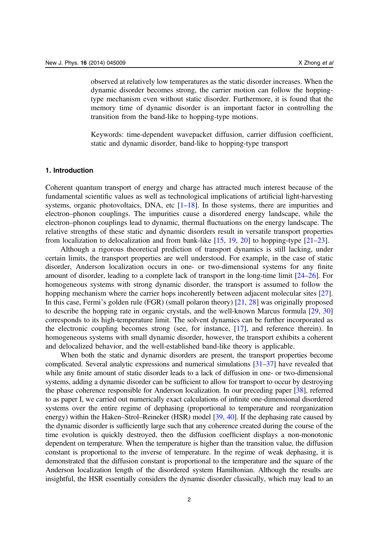observed at relatively low temperatures as the static disorder increases. When the dynamic disorder becomes strong, the carrier motion can follow the hoppingtype mechanism even without static disorder. Furthermore, it is found that the memory time of dynamic disorder is an important factor in controlling the transition from the band-like to hopping-type motions.

Keywords: time-dependent wavepacket diffusion, carrier diffusion coefficient, static and dynamic disorder, band-like to hopping-type transport

#### 1. Introduction

Coherent quantum transport of energy and charge has attracted much interest because of the fundamental scientific values as well as technological implications of artificial light-harvesting systems, organic photovoltaics, DNA, etc  $[1-18]$  $[1-18]$  $[1-18]$  $[1-18]$ . In those systems, there are impurities and electron–phonon couplings. The impurities cause a disordered energy landscape, while the electron–phonon couplings lead to dynamic, thermal fluctuations on the energy landscape. The relative strengths of these static and dynamic disorders result in versatile transport properties from localization to delocalization and from bank-like  $[15, 19, 20]$  $[15, 19, 20]$  $[15, 19, 20]$  $[15, 19, 20]$  $[15, 19, 20]$  $[15, 19, 20]$  to hopping-type  $[21–23]$  $[21–23]$  $[21–23]$  $[21–23]$  $[21–23]$ .

Although a rigorous theoretical prediction of transport dynamics is still lacking, under certain limits, the transport properties are well understood. For example, in the case of static disorder, Anderson localization occurs in one- or two-dimensional systems for any finite amount of disorder, leading to a complete lack of transport in the long-time limit [\[24](#page-15-0)–[26](#page-15-0)]. For homogeneous systems with strong dynamic disorder, the transport is assumed to follow the hopping mechanism where the carrier hops incoherently between adjacent molecular sites [\[27](#page-15-0)]. In this case, Fermi's golden rule (FGR) (small polaron theory) [[21,](#page-15-0) [28\]](#page-15-0) was originally proposed to describe the hopping rate in organic crystals, and the well-known Marcus formula [\[29](#page-15-0), [30](#page-15-0)] corresponds to its high-temperature limit. The solvent dynamics can be further incorporated as the electronic coupling becomes strong (see, for instance, [\[17](#page-15-0)], and reference therein). In homogeneous systems with small dynamic disorder, however, the transport exhibits a coherent and delocalized behavior, and the well-established band-like theory is applicable.

When both the static and dynamic disorders are present, the transport properties become complicated. Several analytic expressions and numerical simulations [\[31](#page-15-0)–[37](#page-15-0)] have revealed that while any finite amount of static disorder leads to a lack of diffusion in one- or two-dimensional systems, adding a dynamic disorder can be sufficient to allow for transport to occur by destroying the phase coherence responsible for Anderson localization. In our preceding paper [[38](#page-15-0)], referred to as paper I, we carried out numerically exact calculations of infinite one-dimensional disordered systems over the entire regime of dephasing (proportional to temperature and reorganization energy) within the Haken–Strol–Reineker (HSR) model [\[39,](#page-15-0) [40\]](#page-15-0). If the dephasing rate caused by the dynamic disorder is sufficiently large such that any coherence created during the course of the time evolution is quickly destroyed, then the diffusion coefficient displays a non-monotonic dependent on temperature. When the temperature is higher than the transition value, the diffusion constant is proportional to the inverse of temperature. In the regime of weak dephasing, it is demonstrated that the diffusion constant is proportional to the temperature and the square of the Anderson localization length of the disordered system Hamiltonian. Although the results are insightful, the HSR essentially considers the dynamic disorder classically, which may lead to an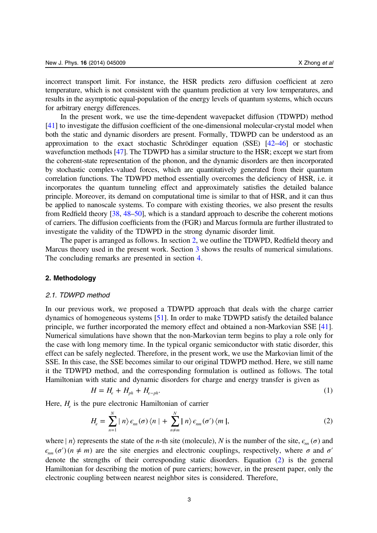<span id="page-3-0"></span>incorrect transport limit. For instance, the HSR predicts zero diffusion coefficient at zero temperature, which is not consistent with the quantum prediction at very low temperatures, and results in the asymptotic equal-population of the energy levels of quantum systems, which occurs for arbitrary energy differences.

In the present work, we use the time-dependent wavepacket diffusion (TDWPD) method [\[41](#page-15-0)] to investigate the diffusion coefficient of the one-dimensional molecular-crystal model when both the static and dynamic disorders are present. Formally, TDWPD can be understood as an approximation to the exact stochastic Schrödinger equation (SSE) [\[42](#page-15-0)–[46\]](#page-15-0) or stochastic wavefunction methods [[47](#page-15-0)]. The TDWPD has a similar structure to the HSR; except we start from the coherent-state representation of the phonon, and the dynamic disorders are then incorporated by stochastic complex-valued forces, which are quantitatively generated from their quantum correlation functions. The TDWPD method essentially overcomes the deficiency of HSR, i.e. it incorporates the quantum tunneling effect and approximately satisfies the detailed balance principle. Moreover, its demand on computational time is similar to that of HSR, and it can thus be applied to nanoscale systems. To compare with existing theories, we also present the results from Redfield theory [\[38,](#page-15-0) [48](#page-15-0)–[50\]](#page-15-0), which is a standard approach to describe the coherent motions of carriers. The diffusion coefficients from the (FGR) and Marcus formula are further illustrated to investigate the validity of the TDWPD in the strong dynamic disorder limit.

The paper is arranged as follows. In section 2, we outline the TDWPD, Redfield theory and Marcus theory used in the present work. Section [3](#page-8-0) shows the results of numerical simulations. The concluding remarks are presented in section [4](#page-13-0).

#### 2. Methodology

#### 2.1. TDWPD method

In our previous work, we proposed a TDWPD approach that deals with the charge carrier dynamics of homogeneous systems [\[51](#page-15-0)]. In order to make TDWPD satisfy the detailed balance principle, we further incorporated the memory effect and obtained a non-Markovian SSE [\[41](#page-15-0)]. Numerical simulations have shown that the non-Markovian term begins to play a role only for the case with long memory time. In the typical organic semiconductor with static disorder, this effect can be safely neglected. Therefore, in the present work, we use the Markovian limit of the SSE. In this case, the SSE becomes similar to our original TDWPD method. Here, we still name it the TDWPD method, and the corresponding formulation is outlined as follows. The total Hamiltonian with static and dynamic disorders for charge and energy transfer is given as

$$
H = H_e + H_{ph} + H_{e-ph}.
$$
 (1)

Here,  $H_e$  is the pure electronic Hamiltonian of carrier

$$
H_e = \sum_{n=1}^{N} | n \rangle \epsilon_{nn}(\sigma) \langle n | + \sum_{n \neq m}^{N} | n \rangle \epsilon_{nm}(\sigma') \langle m |,
$$
 (2)

where  $|n\rangle$  represents the state of the *n*-th site (molecule), N is the number of the site,  $\epsilon_{m}(\sigma)$  and  $\epsilon_{nm}(\sigma')$  ( $n \neq m$ ) are the site energies and electronic couplings, respectively, where  $\sigma$  and  $\sigma'$ denote the strengths of their corresponding static disorders. Equation (2) is the general Hamiltonian for describing the motion of pure carriers; however, in the present paper, only the electronic coupling between nearest neighbor sites is considered. Therefore,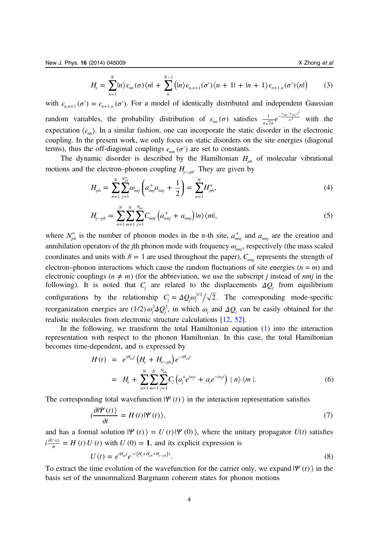$$
H_e = \sum_{n=1}^{N} \left| n \right\rangle \epsilon_{nn}(\sigma) \langle n| + \sum_{n=1}^{N-1} \left( \left| n \right\rangle \epsilon_{n,n+1}(\sigma') \langle n+1| + \left| n+1 \right\rangle \epsilon_{n+1,n}(\sigma') \langle n| \right) \tag{3}
$$

<span id="page-4-0"></span>with  $\epsilon_{n,n+1}(\sigma') = \epsilon_{n+1,n}(\sigma')$ . For a model of identically distributed and independent Gaussian random variables, the probability distribution of  $\epsilon_{nn}(\sigma)$  satisfies  $\frac{1}{\sigma\sqrt{2\pi}}e^{-\frac{(\epsilon_{nn}-(\epsilon_{n})}{2\sigma^2}}$  $\frac{1}{\sqrt{2\pi}}e^{-\frac{(\epsilon_{nn}-\langle \epsilon_{nn}\rangle)}{2\sigma^2}}$ 2  $\frac{\left(\epsilon_{nn} - \langle \epsilon_{nn} \rangle\right)^2}{2\sigma^2}$  with the expectation  $\langle \epsilon_{nn} \rangle$ . In a similar fashion, one can incorporate the static disorder in the electronic coupling. In the present work, we only focus on static disorders on the site energies (diagonal terms), thus the off-diagonal couplings  $\epsilon_{nm}(\sigma')$  are set to constants.

The dynamic disorder is described by the Hamiltonian  $H_{ph}$  of molecular vibrational motions and the electron–phonon coupling  $H_{\epsilon_{n}}$ . They are given by

$$
H_{ph} = \sum_{n=1}^{N} \sum_{j=1}^{N_{ph}^{n}} \omega_{nnj} \left( a_{nnj}^{+} a_{nnj} + \frac{1}{2} \right) = \sum_{n=1}^{N} H_{ph}^{n}, \tag{4}
$$

$$
H_{e-ph} = \sum_{n=1}^{N} \sum_{m=1}^{N} \sum_{j=1}^{N_{ph}} C_{nmj} \left( a_{nmj}^{+} + a_{nmj} \right) \left| n \right\rangle \left\langle m \right|, \tag{5}
$$

where  $N_{ph}^n$  is the number of phonon modes in the *n*-th site,  $a_{nmj}^+$  and  $a_{nmj}^-$  are the creation and annihilation operators of the *j*th phonon mode with frequency  $\omega_{nmj}$ , respectively (the mass scaled coordinates and units with  $\hbar = 1$  are used throughout the paper),  $C_{nmj}$  represents the strength of electron–phonon interactions which cause the random fluctuations of site energies ( $n = m$ ) and electronic couplings  $(n \neq m)$  (for the abbreviation, we use the subscript *j* instead of *nmj* in the following). It is noted that  $C_i$  are related to the displacements  $\Delta Q_i$  from equilibrium configurations by the relationship  $C_j = \Delta Q_j \omega_j^{3/2} / \sqrt{2}$ . The corresponding mode-specific reorganization energies are  $(1/2) \omega_j^2 \Delta Q_j^2$ , in which  $\omega_j$  and  $\Delta Q_j$  can be easily obtained for the realistic molecules from electronic structure calculations [[12,](#page-15-0) [52](#page-15-0)].

In the following, we transform the total Hamiltonian equation  $(1)$  $(1)$  into the interaction representation with respect to the phonon Hamiltonian. In this case, the total Hamiltonian becomes time-dependent, and is expressed by

$$
H(t) = e^{iH_{ph}t} \left( H_e + H_{e-ph} \right) e^{-iH_{ph}t}
$$
  
=  $H_e + \sum_{n=1}^{N} \sum_{m=1}^{N} \sum_{j=1}^{N_{ph}} C_j \left( a_j^+ e^{i\omega_j t} + a_j e^{-i\omega_j t} \right) |n\rangle \langle m|.$  (6)

The corresponding total wavefunction  $|\Psi(t)\rangle$  in the interaction representation satisfies

$$
i\frac{\partial |\Psi(t)\rangle}{\partial t} = H(t)|\Psi(t)\rangle, \tag{7}
$$

and has a formal solution  $|\Psi(t)\rangle = U(t)|\Psi(0)\rangle$ , where the unitary propagator  $U(t)$  satisfies  $i \frac{\partial U(t)}{\partial t} = H(t) U(t)$  with  $U(0) = 1$ , and its explicit expression is

$$
U(t) = e^{iH_{ph}t}e^{-i\left(H_e + H_{ph} + H_{e-ph}\right)t}.
$$
\n(8)

To extract the time evolution of the wavefunction for the carrier only, we expand  $|\Psi(t)\rangle$  in the basis set of the unnormalized Bargmann coherent states for phonon motions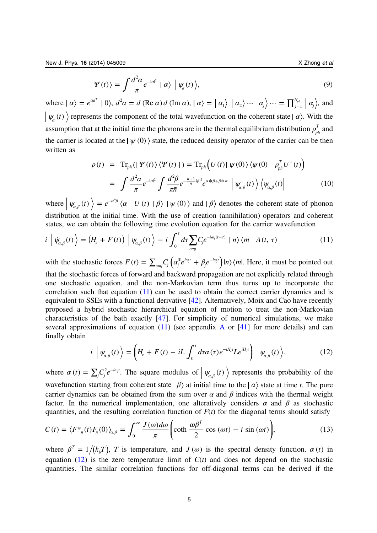$$
|\Psi(t)\rangle = \int \frac{d^2\alpha}{\pi} e^{-|\alpha|^2} | \alpha \rangle | \psi_{\alpha}(t) \rangle, \qquad (9)
$$

<span id="page-5-0"></span>where  $|\alpha\rangle = e^{a a^{\dagger}} |0\rangle$ ,  $d^2\alpha = d$  (Re  $\alpha$ )  $d$  (Im  $\alpha$ ),  $|\alpha\rangle = |\alpha_1\rangle | \alpha_2\rangle \cdots |\alpha_j\rangle \cdots = \prod_{j=1}^{N_{ph}} |\alpha_j|$  $\langle \sigma_1 \rangle \mid \alpha_2 \rangle \cdots \mid \alpha_j \rangle \cdots = \prod_{j=1}^{N_{ph}} \mid \alpha_j \rangle$ , and  $\vert \psi_a(t) \rangle$  represents the component of the total wavefunction on the coherent state  $\vert \alpha \rangle$ . With the assumption that at the initial time the phonons are in the thermal equilibrium distribution  $\rho_{ph}^T$  and the carrier is located at the  $|\psi(0)\rangle$  state, the reduced density operator of the carrier can be then written as

$$
\rho(t) = \text{Tr}_{ph}(|\Psi(t)\rangle\langle\Psi(t)|) = \text{Tr}_{ph}\Big(U(t)|\Psi(0)\rangle\langle\Psi(0)|\rho_{ph}^T U^+(t)\Big)
$$

$$
= \int \frac{d^2\alpha}{\pi} e^{-|\alpha|^2} \int \frac{d^2\beta}{\pi\bar{n}} e^{-\frac{\bar{n}+1}{\bar{n}}|\beta|^2} e^{\alpha*\beta+\beta*\alpha} |\Psi_{\alpha,\beta}(t)\rangle\langle\Psi_{\alpha,\beta}(t)| \qquad (10)
$$

where  $\left|\psi_{\alpha,\beta}(t)\right\rangle = e^{-\alpha^*\beta}\left\langle \alpha \mid U(t) \mid \beta \right\rangle \mid \psi(0)\right\rangle$  and  $\mid \beta \rangle$  denotes the coherent state of phonon distribution at the initial time. With the use of creation (annihilation) operators and coherent states, we can obtain the following time evolution equation for the carrier wavefunction

$$
i \left| \psi_{\alpha,\beta}(t) \right\rangle = \left( H_e + F(t) \right) \left| \psi_{\alpha,\beta}(t) \right\rangle - i \int_0^t d\tau \sum_{n m j} C_j e^{-i\omega_j(t-\tau)} \left| n \right\rangle \left\langle m \left| A(t,\tau) \right\rangle \right. \tag{11}
$$

with the stochastic forces  $F(t) = \sum_{n m j} C_j \left( \alpha_j^* e^{i\omega_j t} + \beta_j e^{-i\omega_j t} \right) \ln \left| n \right|$ . Here, it must be pointed out that the stochastic forces of forward and backward propagation are not explicitly related through one stochastic equation, and the non-Markovian term thus turns up to incorporate the correlation such that equation  $(11)$  can be used to obtain the correct carrier dynamics and is equivalent to SSEs with a functional derivative [\[42](#page-15-0)]. Alternatively, Moix and Cao have recently proposed a hybrid stochastic hierarchical equation of motion to treat the non-Markovian characteristics of the bath exactly [[47\]](#page-15-0). For simplicity of numerical simulations, we make several approximations of equation (11) (see appendix [A](#page-14-0) or  $[41]$  $[41]$  for more details) and can finally obtain

$$
i \left| \psi_{\alpha,\beta}(t) \right\rangle = \left( H_e + F(t) - iL \int_0^t d\tau \alpha(\tau) e^{-iH_e\tau} L e^{iH_e\tau} \right) \left| \psi_{\alpha,\beta}(t) \right\rangle, \tag{12}
$$

where  $\alpha(t) = \sum_j C_j^2 e^{-i\omega_j t}$ . The square modulus of  $\psi_{\alpha,\beta}(t)$  represents the probability of the wavefunction starting from coherent state  $\ket{\beta}$  at initial time to the  $\ket{\alpha}$  state at time t. The pure carrier dynamics can be obtained from the sum over  $\alpha$  and  $\beta$  indices with the thermal weight factor. In the numerical implementation, one alteratively considers  $\alpha$  and  $\beta$  as stochastic quantities, and the resulting correlation function of  $F(t)$  for the diagonal terms should satisfy

$$
C(t) = \langle F^*_{n}(t)F_n(0)\rangle_{\alpha,\beta} = \int_0^\infty \frac{J(\omega)d\omega}{\pi} \left(\coth\frac{\omega\beta^T}{2}\cos(\omega t) - i\sin(\omega t)\right),\tag{13}
$$

where  $\beta^T = 1/(k_b T)$ , T is temperature, and  $J(\omega)$  is the spectral density function.  $\alpha(t)$  in equation (12) is the zero temperature limit of  $C(t)$  and does not depend on the stochastic quantities. The similar correlation functions for off-diagonal terms can be derived if the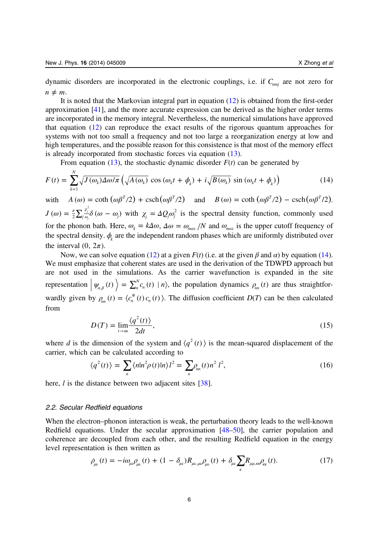<span id="page-6-0"></span>dynamic disorders are incorporated in the electronic couplings, i.e. if  $C_{nmi}$  are not zero for  $n \neq m$ .

It is noted that the Markovian integral part in equation [\(12](#page-5-0)) is obtained from the first-order approximation [\[41](#page-15-0)], and the more accurate expression can be derived as the higher order terms are incorporated in the memory integral. Nevertheless, the numerical simulations have approved that equation ([12\)](#page-5-0) can reproduce the exact results of the rigorous quantum approaches for systems with not too small a frequency and not too large a reorganization energy at low and high temperatures, and the possible reason for this consistence is that most of the memory effect is already incorporated from stochastic forces via equation [\(13](#page-5-0)).

From equation ([13\)](#page-5-0), the stochastic dynamic disorder  $F(t)$  can be generated by

$$
F(t) = \sum_{k=1}^{N} \sqrt{J(\omega_k)\Delta\omega/\pi} \left( \sqrt{A(\omega_k)} \cos(\omega_k t + \phi_k) + i\sqrt{B(\omega_k)} \sin(\omega_k t + \phi_k) \right)
$$
(14)

with  $A(\omega) = \coth (\omega \beta^{T}/2) + \csch(\omega \beta^{T}/2)$  and  $B(\omega) = \coth (\omega \beta^{T}/2) - \csch(\omega \beta^{T}/2)$ .  $J(\omega) = \frac{\pi}{2} \sum_{j} \frac{\chi_j^2}{\omega_j} \delta(\omega - \omega_j)$  $\frac{d^2y}{dx^2}$  *(ω – ω<sub>j</sub>*) with  $\chi_j = \Delta Q_j \omega_j^2$  is the spectral density function, commonly used for the phonon bath. Here,  $\omega_k = k \Delta \omega$ ,  $\Delta \omega = \omega_{max}/N$  and  $\omega_{max}$  is the upper cutoff frequency of the spectral density.  $\phi_k$  are the independent random phases which are uniformly distributed over the interval  $(0, 2\pi)$ .

Now, we can solve equation ([12\)](#page-5-0) at a given  $F(t)$  (i.e. at the given  $\beta$  and  $\alpha$ ) by equation (14). We must emphasize that coherent states are used in the derivation of the TDWPD approach but are not used in the simulations. As the carrier wavefunction is expanded in the site representation  $\psi_{\alpha,\beta}(t) = \sum_{n}^{N} c_n(t) \mid n \rangle$ , the population dynamics  $\rho_{nn}(t)$  are thus straightforwardly given by  $\rho_m(t) = \langle c_n^*(t) c_n(t) \rangle$ . The diffusion coefficient  $D(T)$  can be then calculated from

$$
D(T) = \lim_{t \to \infty} \frac{\langle q^2(t) \rangle}{2dt},\tag{15}
$$

where d is the dimension of the system and  $\langle q^2(t) \rangle$  is the mean-squared displacement of the carrier, which can be calculated according to

$$
\langle q^2(t)\rangle = \sum_n \langle n|n^2\rho(t)|n\rangle l^2 = \sum_n \rho_{nn}(t)n^2 l^2,
$$
\n(16)

here, *l* is the distance between two adjacent sites [[38\]](#page-15-0).

#### 2.2. Secular Redfield equations

When the electron–phonon interaction is weak, the perturbation theory leads to the well-known Redfield equations. Under the secular approximation [\[48](#page-15-0)–[50\]](#page-15-0), the carrier population and coherence are decoupled from each other, and the resulting Redfield equation in the energy level representation is then written as

$$
\dot{\rho}_{\mu\nu}(t) = -i\omega_{\mu\nu}\rho_{\mu\nu}(t) + (1 - \delta_{\mu\nu})R_{\mu\nu,\mu\nu}\rho_{\mu\nu}(t) + \delta_{\mu\nu}\sum_{\kappa}R_{\mu\mu,\kappa\kappa}\rho_{\kappa\kappa}(t). \tag{17}
$$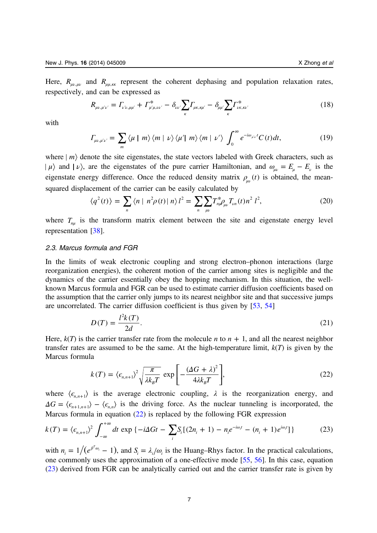<span id="page-7-0"></span>Here,  $R_{\mu\nu,\mu\nu}$  and  $R_{\mu\mu,\kappa\kappa}$  represent the coherent dephasing and population relaxation rates, respectively, and can be expressed as

$$
R_{\mu\nu,\mu'\nu'} = \Gamma_{\nu'\nu,\mu\mu'} + \Gamma_{\mu'\mu,\nu\nu'}^* - \delta_{\nu\nu'} \sum_{\kappa} \Gamma_{\mu\kappa,\kappa\mu'} - \delta_{\mu\mu'} \sum_{\kappa} \Gamma_{\nu\kappa,\kappa\nu'}^* \tag{18}
$$

with

$$
\Gamma_{\mu\nu,\mu'\nu'} = \sum_{m} \langle \mu \mid m \rangle \langle m \mid \nu \rangle \langle \mu' \mid m \rangle \langle m \mid \nu' \rangle \int_{0}^{\infty} e^{-i\omega_{\mu'\nu}t} C(t) dt,
$$
\n(19)

where  $|m\rangle$  denote the site eigenstates, the state vectors labeled with Greek characters, such as  $|\mu\rangle$  and  $|\nu\rangle$ , are the eigenstates of the pure carrier Hamiltonian, and  $\omega_{\mu\nu} = E_{\mu} - E_{\nu}$  is the eigenstate energy difference. Once the reduced density matrix  $\rho_{\mu\nu}(t)$  is obtained, the meansquared displacement of the carrier can be easily calculated by

$$
\langle q^2(t)\rangle = \sum_n \langle n \mid n^2 \rho(t) \mid n \rangle l^2 = \sum_n \sum_{\mu\nu} T^*_{n\mu} \rho_{\mu\nu} T_{\nu n}(t) n^2 l^2,\tag{20}
$$

where  $T_{n\mu}$  is the transform matrix element between the site and eigenstate energy level representation [\[38](#page-15-0)].

#### 2.3. Marcus formula and FGR

In the limits of weak electronic coupling and strong electron–phonon interactions (large reorganization energies), the coherent motion of the carrier among sites is negligible and the dynamics of the carrier essentially obey the hopping mechanism. In this situation, the wellknown Marcus formula and FGR can be used to estimate carrier diffusion coefficients based on the assumption that the carrier only jumps to its nearest neighbor site and that successive jumps are uncorrelated. The carrier diffusion coefficient is thus given by [\[53](#page-15-0), [54](#page-15-0)]

$$
D(T) = \frac{l^2 k(T)}{2d}.\tag{21}
$$

Here,  $k(T)$  is the carrier transfer rate from the molecule *n* to  $n + 1$ , and all the nearest neighbor transfer rates are assumed to be the same. At the high-temperature limit,  $k(T)$  is given by the Marcus formula

$$
k(T) = \langle \epsilon_{n,n+1} \rangle^2 \sqrt{\frac{\pi}{\lambda k_B T}} \exp\left[ -\frac{(\Delta G + \lambda)^2}{4\lambda k_B T} \right],
$$
 (22)

where  $\langle \epsilon_{n,n+1} \rangle$  is the average electronic coupling,  $\lambda$  is the reorganization energy, and  $\Delta G = \langle \epsilon_{n+1,n+1} \rangle - \langle \epsilon_{n,n} \rangle$  is the driving force. As the nuclear tunneling is incorporated, the Marcus formula in equation  $(22)$  is replaced by the following FGR expression

$$
k(T) = \langle \epsilon_{n,n+1} \rangle^2 \int_{-\infty}^{+\infty} dt \, \exp \{ -i\Delta Gt - \sum_i S_i [(2n_i + 1) - n_i e^{-i\omega_i t} - (n_i + 1) e^{i\omega_i t}] \}
$$
(23)

with  $n_i = 1/(e^{\beta^T \omega_i} - 1)$ , and  $S_i = \lambda_i/\omega_i$  is the Huang–Rhys factor. In the practical calculations, one commonly uses the approximation of a one-effective mode [\[55](#page-15-0), [56\]](#page-15-0). In this case, equation (23) derived from FGR can be analytically carried out and the carrier transfer rate is given by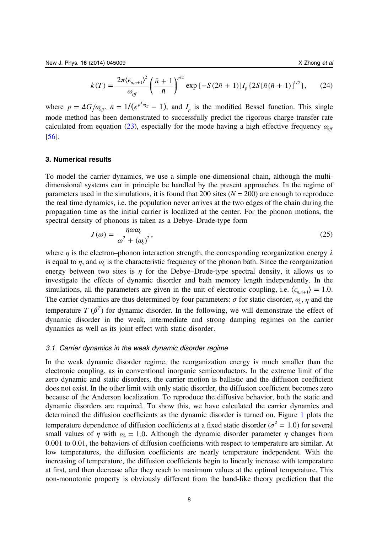$$
k(T) = \frac{2\pi \langle \epsilon_{n,n+1} \rangle^2}{\omega_{\text{eff}}} \left( \frac{\bar{n} + 1}{\bar{n}} \right)^{p/2} \exp \left[ -S(2\bar{n} + 1) \right] I_p \{ 2S [\bar{n}(\bar{n} + 1)]^{1/2} \}, \qquad (24)
$$

<span id="page-8-0"></span>where  $p = \Delta G/\omega_{\text{eff}}$ ,  $\bar{n} = 1/(e^{\beta^T \omega_{\text{eff}}} - 1)$ , and  $I_p$  is the modified Bessel function. This single mode method has been demonstrated to successfully predict the rigorous charge transfer rate calculated from equation [\(23](#page-7-0)), especially for the mode having a high effective frequency  $\omega_{\text{eff}}$ [[56\]](#page-15-0).

#### 3. Numerical results

To model the carrier dynamics, we use a simple one-dimensional chain, although the multidimensional systems can in principle be handled by the present approaches. In the regime of parameters used in the simulations, it is found that 200 sites  $(N = 200)$  are enough to reproduce the real time dynamics, i.e. the population never arrives at the two edges of the chain during the propagation time as the initial carrier is localized at the center. For the phonon motions, the spectral density of phonons is taken as a Debye–Drude-type form

$$
J(\omega) = \frac{\eta \omega \omega_c}{\omega^2 + (\omega_c)^2},\tag{25}
$$

where *n* is the electron–phonon interaction strength, the corresponding reorganization energy  $\lambda$ is equal to  $\eta$ , and  $\omega$  is the characteristic frequency of the phonon bath. Since the reorganization energy between two sites is  $\eta$  for the Debye–Drude-type spectral density, it allows us to investigate the effects of dynamic disorder and bath memory length independently. In the simulations, all the parameters are given in the unit of electronic coupling, i.e.  $\langle \epsilon_{n,n+1} \rangle = 1.0$ . The carrier dynamics are thus determined by four parameters:  $\sigma$  for static disorder,  $\omega_c$ ,  $\eta$  and the temperature  $T(\beta^T)$  for dynamic disorder. In the following, we will demonstrate the effect of dynamic disorder in the weak, intermediate and strong damping regimes on the carrier dynamics as well as its joint effect with static disorder.

#### 3.1. Carrier dynamics in the weak dynamic disorder regime

In the weak dynamic disorder regime, the reorganization energy is much smaller than the electronic coupling, as in conventional inorganic semiconductors. In the extreme limit of the zero dynamic and static disorders, the carrier motion is ballistic and the diffusion coefficient does not exist. In the other limit with only static disorder, the diffusion coefficient becomes zero because of the Anderson localization. To reproduce the diffusive behavior, both the static and dynamic disorders are required. To show this, we have calculated the carrier dynamics and determined the diffusion coefficients as the dynamic disorder is turned on. Figure [1](#page-9-0) plots the temperature dependence of diffusion coefficients at a fixed static disorder ( $\sigma^2 = 1.0$ ) for several small values of  $\eta$  with  $\omega = 1.0$ . Although the dynamic disorder parameter  $\eta$  changes from 0.001 to 0.01, the behaviors of diffusion coefficients with respect to temperature are similar. At low temperatures, the diffusion coefficients are nearly temperature independent. With the increasing of temperature, the diffusion coefficients begin to linearly increase with temperature at first, and then decrease after they reach to maximum values at the optimal temperature. This non-monotonic property is obviously different from the band-like theory prediction that the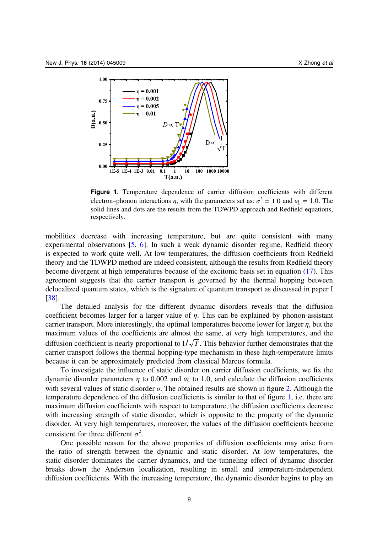<span id="page-9-0"></span>

Figure 1. Temperature dependence of carrier diffusion coefficients with different electron–phonon interactions  $\eta$ , with the parameters set as:  $\sigma^2 = 1.0$  and  $\omega = 1.0$ . The solid lines and dots are the results from the TDWPD approach and Redfield equations, respectively.

mobilities decrease with increasing temperature, but are quite consistent with many experimental observations [\[5,](#page-14-0) [6\]](#page-14-0). In such a weak dynamic disorder regime, Redfield theory is expected to work quite well. At low temperatures, the diffusion coefficients from Redfield theory and the TDWPD method are indeed consistent, although the results from Redfield theory become divergent at high temperatures because of the excitonic basis set in equation ([17\)](#page-6-0). This agreement suggests that the carrier transport is governed by the thermal hopping between delocalized quantum states, which is the signature of quantum transport as discussed in paper I [[38\]](#page-15-0).

The detailed analysis for the different dynamic disorders reveals that the diffusion coefficient becomes larger for a larger value of  $n$ . This can be explained by phonon-assistant carrier transport. More interestingly, the optimal temperatures become lower for larger  $\eta$ , but the maximum values of the coefficients are almost the same, at very high temperatures, and the diffusion coefficient is nearly proportional to  $1/\sqrt{T}$ . This behavior further demonstrates that the carrier transport follows the thermal hopping-type mechanism in these high-temperature limits because it can be approximately predicted from classical Marcus formula.

To investigate the influence of static disorder on carrier diffusion coefficients, we fix the dynamic disorder parameters  $\eta$  to 0.002 and  $\omega$  to 1.0, and calculate the diffusion coefficients with several values of static disorder  $\sigma$ . The obtained results are shown in figure [2.](#page-10-0) Although the temperature dependence of the diffusion coefficients is similar to that of figure 1, i.e. there are maximum diffusion coefficients with respect to temperature, the diffusion coefficients decrease with increasing strength of static disorder, which is opposite to the property of the dynamic disorder. At very high temperatures, moreover, the values of the diffusion coefficients become consistent for three different  $\sigma^2$ .

One possible reason for the above properties of diffusion coefficients may arise from the ratio of strength between the dynamic and static disorder. At low temperatures, the static disorder dominates the carrier dynamics, and the tunneling effect of dynamic disorder breaks down the Anderson localization, resulting in small and temperature-independent diffusion coefficients. With the increasing temperature, the dynamic disorder begins to play an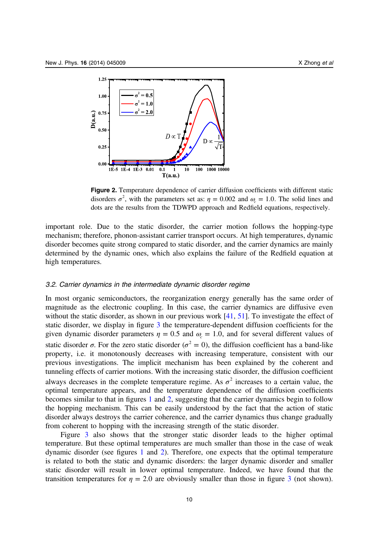<span id="page-10-0"></span>

Figure 2. Temperature dependence of carrier diffusion coefficients with different static disorders  $\sigma^2$ , with the parameters set as:  $\eta = 0.002$  and  $\omega_c = 1.0$ . The solid lines and dots are the results from the TDWPD approach and Redfield equations, respectively.

important role. Due to the static disorder, the carrier motion follows the hopping-type mechanism; therefore, phonon-assistant carrier transport occurs. At high temperatures, dynamic disorder becomes quite strong compared to static disorder, and the carrier dynamics are mainly determined by the dynamic ones, which also explains the failure of the Redfield equation at high temperatures.

#### 3.2. Carrier dynamics in the intermediate dynamic disorder regime

In most organic semiconductors, the reorganization energy generally has the same order of magnitude as the electronic coupling. In this case, the carrier dynamics are diffusive even without the static disorder, as shown in our previous work [\[41](#page-15-0), [51](#page-15-0)]. To investigate the effect of static disorder, we display in figure [3](#page-11-0) the temperature-dependent diffusion coefficients for the given dynamic disorder parameters  $\eta = 0.5$  and  $\omega$  = 1.0, and for several different values of static disorder  $\sigma$ . For the zero static disorder ( $\sigma^2 = 0$ ), the diffusion coefficient has a band-like property, i.e. it monotonously decreases with increasing temperature, consistent with our previous investigations. The implicit mechanism has been explained by the coherent and tunneling effects of carrier motions. With the increasing static disorder, the diffusion coefficient always decreases in the complete temperature regime. As  $\sigma^2$  increases to a certain value, the optimal temperature appears, and the temperature dependence of the diffusion coefficients becomes similar to that in figures [1](#page-9-0) and 2, suggesting that the carrier dynamics begin to follow the hopping mechanism. This can be easily understood by the fact that the action of static disorder always destroys the carrier coherence, and the carrier dynamics thus change gradually from coherent to hopping with the increasing strength of the static disorder.

Figure [3](#page-11-0) also shows that the stronger static disorder leads to the higher optimal temperature. But these optimal temperatures are much smaller than those in the case of weak dynamic disorder (see figures [1](#page-9-0) and 2). Therefore, one expects that the optimal temperature is related to both the static and dynamic disorders: the larger dynamic disorder and smaller static disorder will result in lower optimal temperature. Indeed, we have found that the transition temperatures for  $\eta = 2.0$  are obviously smaller than those in figure [3](#page-11-0) (not shown).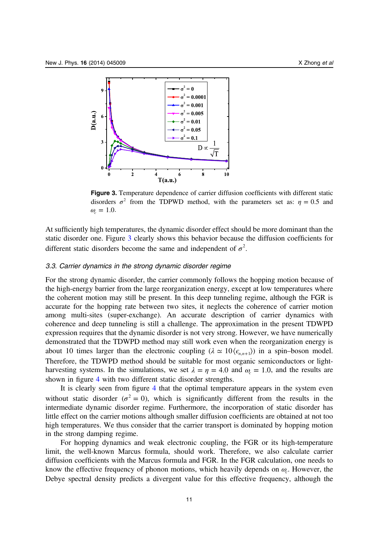<span id="page-11-0"></span>

Figure 3. Temperature dependence of carrier diffusion coefficients with different static disorders  $\sigma^2$  from the TDPWD method, with the parameters set as:  $\eta = 0.5$  and  $\omega_c = 1.0$ .

At sufficiently high temperatures, the dynamic disorder effect should be more dominant than the static disorder one. Figure 3 clearly shows this behavior because the diffusion coefficients for different static disorders become the same and independent of  $\sigma^2$ .

#### 3.3. Carrier dynamics in the strong dynamic disorder regime

For the strong dynamic disorder, the carrier commonly follows the hopping motion because of the high-energy barrier from the large reorganization energy, except at low temperatures where the coherent motion may still be present. In this deep tunneling regime, although the FGR is accurate for the hopping rate between two sites, it neglects the coherence of carrier motion among multi-sites (super-exchange). An accurate description of carrier dynamics with coherence and deep tunneling is still a challenge. The approximation in the present TDWPD expression requires that the dynamic disorder is not very strong. However, we have numerically demonstrated that the TDWPD method may still work even when the reorganization energy is about 10 times larger than the electronic coupling  $(\lambda \approx 10 \langle \epsilon_{n,n+1} \rangle)$  in a spin–boson model. Therefore, the TDWPD method should be suitable for most organic semiconductors or lightharvesting systems. In the simulations, we set  $\lambda = \eta = 4.0$  and  $\omega_c = 1.0$ , and the results are shown in figure [4](#page-12-0) with two different static disorder strengths.

It is clearly seen from figure [4](#page-12-0) that the optimal temperature appears in the system even without static disorder ( $\sigma^2 = 0$ ), which is significantly different from the results in the intermediate dynamic disorder regime. Furthermore, the incorporation of static disorder has little effect on the carrier motions although smaller diffusion coefficients are obtained at not too high temperatures. We thus consider that the carrier transport is dominated by hopping motion in the strong damping regime.

For hopping dynamics and weak electronic coupling, the FGR or its high-temperature limit, the well-known Marcus formula, should work. Therefore, we also calculate carrier diffusion coefficients with the Marcus formula and FGR. In the FGR calculation, one needs to know the effective frequency of phonon motions, which heavily depends on  $\omega_c$ . However, the Debye spectral density predicts a divergent value for this effective frequency, although the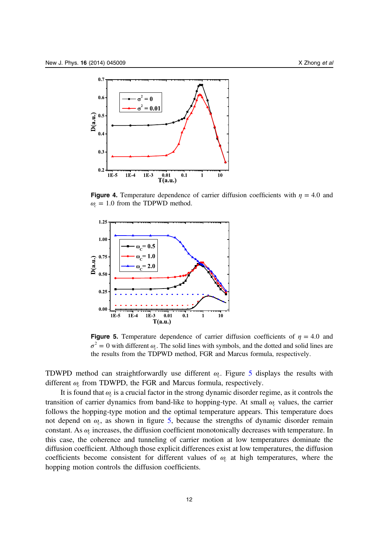<span id="page-12-0"></span>

**Figure 4.** Temperature dependence of carrier diffusion coefficients with  $\eta = 4.0$  and  $\omega$  = 1.0 from the TDPWD method.



**Figure 5.** Temperature dependence of carrier diffusion coefficients of  $\eta = 4.0$  and  $\sigma^2 = 0$  with different  $\omega$ . The solid lines with symbols, and the dotted and solid lines are the results from the TDPWD method, FGR and Marcus formula, respectively.

TDWPD method can straightforwardly use different *ωc*. Figure 5 displays the results with different *ω<sup>c</sup>* from TDWPD, the FGR and Marcus formula, respectively.

It is found that  $\omega$  is a crucial factor in the strong dynamic disorder regime, as it controls the transition of carrier dynamics from band-like to hopping-type. At small  $\omega$ <sub>c</sub> values, the carrier follows the hopping-type motion and the optimal temperature appears. This temperature does not depend on  $\omega_c$ , as shown in figure 5, because the strengths of dynamic disorder remain constant. As *ω<sup>c</sup>* increases, the diffusion coefficient monotonically decreases with temperature. In this case, the coherence and tunneling of carrier motion at low temperatures dominate the diffusion coefficient. Although those explicit differences exist at low temperatures, the diffusion coefficients become consistent for different values of  $\omega_c$  at high temperatures, where the hopping motion controls the diffusion coefficients.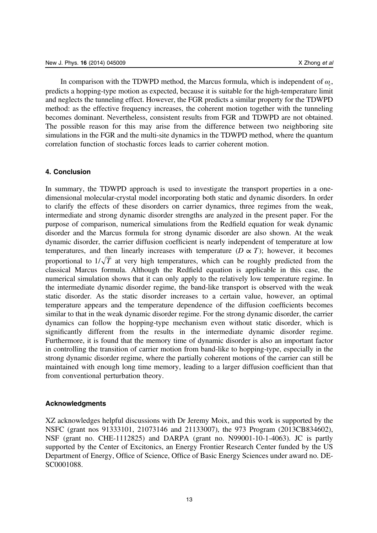<span id="page-13-0"></span>In comparison with the TDWPD method, the Marcus formula, which is independent of *ωc*, predicts a hopping-type motion as expected, because it is suitable for the high-temperature limit and neglects the tunneling effect. However, the FGR predicts a similar property for the TDWPD method: as the effective frequency increases, the coherent motion together with the tunneling becomes dominant. Nevertheless, consistent results from FGR and TDWPD are not obtained. The possible reason for this may arise from the difference between two neighboring site simulations in the FGR and the multi-site dynamics in the TDWPD method, where the quantum correlation function of stochastic forces leads to carrier coherent motion.

#### 4. Conclusion

In summary, the TDWPD approach is used to investigate the transport properties in a onedimensional molecular-crystal model incorporating both static and dynamic disorders. In order to clarify the effects of these disorders on carrier dynamics, three regimes from the weak, intermediate and strong dynamic disorder strengths are analyzed in the present paper. For the purpose of comparison, numerical simulations from the Redfield equation for weak dynamic disorder and the Marcus formula for strong dynamic disorder are also shown. At the weak dynamic disorder, the carrier diffusion coefficient is nearly independent of temperature at low temperatures, and then linearly increases with temperature ( $D \propto T$ ); however, it becomes proportional to  $1/\sqrt{T}$  at very high temperatures, which can be roughly predicted from the classical Marcus formula. Although the Redfield equation is applicable in this case, the numerical simulation shows that it can only apply to the relatively low temperature regime. In the intermediate dynamic disorder regime, the band-like transport is observed with the weak static disorder. As the static disorder increases to a certain value, however, an optimal temperature appears and the temperature dependence of the diffusion coefficients becomes similar to that in the weak dynamic disorder regime. For the strong dynamic disorder, the carrier dynamics can follow the hopping-type mechanism even without static disorder, which is significantly different from the results in the intermediate dynamic disorder regime. Furthermore, it is found that the memory time of dynamic disorder is also an important factor in controlling the transition of carrier motion from band-like to hopping-type, especially in the strong dynamic disorder regime, where the partially coherent motions of the carrier can still be maintained with enough long time memory, leading to a larger diffusion coefficient than that from conventional perturbation theory.

#### **Acknowledaments**

XZ acknowledges helpful discussions with Dr Jeremy Moix, and this work is supported by the NSFC (grant nos 91333101, 21073146 and 21133007), the 973 Program (2013CB834602), NSF (grant no. CHE-1112825) and DARPA (grant no. N99001-10-1-4063). JC is partly supported by the Center of Excitonics, an Energy Frontier Research Center funded by the US Department of Energy, Office of Science, Office of Basic Energy Sciences under award no. DE-SC0001088.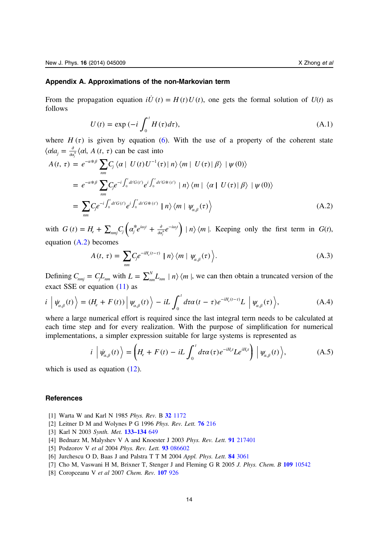#### <span id="page-14-0"></span>Appendix A. Approximations of the non-Markovian term

From the propagation equation  $i\dot{U}(t) = H(t)U(t)$ , one gets the formal solution of  $U(t)$  as follows

$$
U(t) = \exp(-i\int_0^t H(\tau)d\tau),
$$
\n(A.1)

where  $H(\tau)$  is given by equation ([6\)](#page-4-0). With the use of a property of the coherent state  $\langle \alpha | a_j = \frac{\partial}{\partial a_j^*} \langle \alpha | A(t, \tau) \rangle$  can be cast into

$$
A(t, \tau) = e^{-\alpha * \beta} \sum_{nm} C_j \langle \alpha | U(t) U^{-1}(\tau) | n \rangle \langle m | U(\tau) | \beta \rangle | \psi(0) \rangle
$$
  
\n
$$
= e^{-\alpha * \beta} \sum_{nm} C_j e^{-i \int_0^t dt' G(t')} e^{i \int_0^t dt' G(t')} | n \rangle \langle m | \langle \alpha | U(\tau) | \beta \rangle | \psi(0) \rangle
$$
  
\n
$$
= \sum_{nm} C_j e^{-i \int_0^t dt' G(t')} e^{i \int_0^t dt' G(t')} | n \rangle \langle m | \psi_{\alpha,\beta}(\tau) \rangle
$$
(A.2)

with  $G(t) = H_e + \sum_{nmj} C_j \left( \alpha_j^* e^{i\omega_j t} + \frac{\partial}{\partial \alpha_j} \right)$ ∂ *ω*  $G\left(t\right)=H_{e}+\sum_{nnj}C_{j}\left(\alpha_{j}^{\ast}e^{i\omega_{j}t}+\frac{\partial}{\partial\alpha_{j}^{\ast}}e^{-i\omega_{j}t}\right)\mid n\rangle\left\langle m\right\rangle$  $\int_{\mathcal{F}}^{\mathcal{F}} e^{-i\omega_j t}$  | *n* \ /*m* | Keeping only the first term in  $G(t)$ , equation  $(A.2)$  becomes

$$
A(t, \tau) = \sum_{nm} C_j e^{-iH_c(t-\tau)} \mid n \rangle \langle m \mid \psi_{\alpha,\beta}(\tau) \rangle.
$$
 (A.3)

Defining  $C_{nmj} = C_j L_{nm}$  with  $L = \sum_{nm}^{N} L_{nm} \mid n \rangle \langle m \mid$ , we can then obtain a truncated version of the exact SSE or equation ([11\)](#page-5-0) as

$$
i \left| \psi_{\alpha,\beta}(t) \right\rangle = (H_e + F(t)) \left| \psi_{\alpha,\beta}(t) \right\rangle - iL \int_0^t d\tau \alpha(t-\tau) e^{-iH_e(t-\tau)} L \left| \psi_{\alpha,\beta}(\tau) \right\rangle, \tag{A.4}
$$

where a large numerical effort is required since the last integral term needs to be calculated at each time step and for every realization. With the purpose of simplification for numerical implementations, a simpler expression suitable for large systems is represented as

$$
i \left| \psi_{\alpha,\beta}(t) \right\rangle = \left( H_e + F(t) - iL \int_0^t d\tau \alpha(\tau) e^{-iH_e\tau} L e^{iH_e\tau} \right) \left| \psi_{\alpha,\beta}(t) \right\rangle, \tag{A.5}
$$

which is used as equation  $(12)$  $(12)$ .

#### **References**

- [1] Warta W and Karl N 1985 Phys. Rev. B 32 [1172](http://dx.doi.org/10.1103/PhysRevB.32.1172)
- [2] Leitner D M and Wolynes P G 1996 Phys. Rev. Lett. **76** [216](http://dx.doi.org/10.1103/PhysRevLett.76.216)
- [3] Karl N 2003 Synth. Met. 133-134 [649](http://dx.doi.org/10.1016/S0379-6779(02)00398-3)
- [4] Bednarz M, Malyshev V A and Knoester J 2003 Phys. Rev. Lett. 91 [217401](http://dx.doi.org/10.1103/PhysRevLett.91.217401)
- [5] Podzorov V et al 2004 Phys. Rev. Lett. 93 [086602](http://dx.doi.org/10.1103/PhysRevLett.93.086602)
- [6] Jurchescu O D, Baas J and Palstra T T M 2004 Appl. Phys. Lett. 84 [3061](http://dx.doi.org/10.1063/1.1704874)
- [7] Cho M, Vaswani H M, Brixner T, Stenger J and Fleming G R 2005 J. Phys. Chem. B 109 [10542](http://dx.doi.org/10.1021/jp050788d)
- [8] Coropceanu V et al 2007 Chem. Rev. **107** [926](http://dx.doi.org/10.1021/cr050140x)